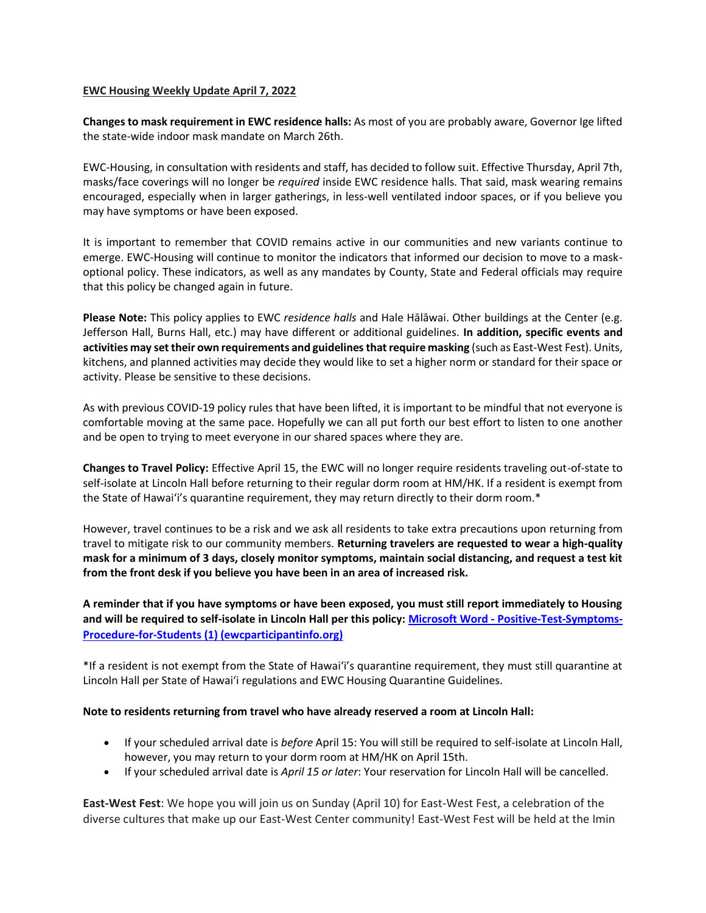### **EWC Housing Weekly Update April 7, 2022**

**Changes to mask requirement in EWC residence halls:** As most of you are probably aware, Governor Ige lifted the state-wide indoor mask mandate on March 26th.

EWC-Housing, in consultation with residents and staff, has decided to follow suit. Effective Thursday, April 7th, masks/face coverings will no longer be *required* inside EWC residence halls. That said, mask wearing remains encouraged, especially when in larger gatherings, in less-well ventilated indoor spaces, or if you believe you may have symptoms or have been exposed.

It is important to remember that COVID remains active in our communities and new variants continue to emerge. EWC-Housing will continue to monitor the indicators that informed our decision to move to a maskoptional policy. These indicators, as well as any mandates by County, State and Federal officials may require that this policy be changed again in future.

**Please Note:** This policy applies to EWC *residence halls* and Hale Hālāwai. Other buildings at the Center (e.g. Jefferson Hall, Burns Hall, etc.) may have different or additional guidelines. **In addition, specific events and activities may set their own requirements and guidelines that require masking** (such as East-West Fest). Units, kitchens, and planned activities may decide they would like to set a higher norm or standard for their space or activity. Please be sensitive to these decisions.

As with previous COVID-19 policy rules that have been lifted, it is important to be mindful that not everyone is comfortable moving at the same pace. Hopefully we can all put forth our best effort to listen to one another and be open to trying to meet everyone in our shared spaces where they are.

**Changes to Travel Policy:** Effective April 15, the EWC will no longer require residents traveling out-of-state to self-isolate at Lincoln Hall before returning to their regular dorm room at HM/HK. If a resident is exempt from the State of Hawai'i's quarantine requirement, they may return directly to their dorm room.\*

However, travel continues to be a risk and we ask all residents to take extra precautions upon returning from travel to mitigate risk to our community members. **Returning travelers are requested to wear a high-quality mask for a minimum of 3 days, closely monitor symptoms, maintain social distancing, and request a test kit from the front desk if you believe you have been in an area of increased risk.** 

**A reminder that if you have symptoms or have been exposed, you must still report immediately to Housing and will be required to self-isolate in Lincoln Hall per this policy: Microsoft Word - [Positive-Test-Symptoms-](https://urldefense.proofpoint.com/v2/url?u=https-3A__ewcparticipantinfo.org_wp-2Dcontent_uploads_2021_11_Positive-2DTest-2DSymptoms-2DProcedure-2Dfor-2DStudents.pdf&d=DwMFaQ&c=euGZstcaTDllvimEN8b7jXrwqOf-v5A_CdpgnVfiiMM&r=sjCoHaVUe8_a1MXsziR411ri4sB3BX3q50L3el6sXMQ&m=WKgR4N74YReT09YdgFIlusysPx2EVEYi0ZpgIBiHyLo&s=B_EwroYPRrrqMgKz19R7tl7FsWgmRDH1xyG1z5TrPCI&e=)[Procedure-for-Students \(1\) \(ewcparticipantinfo.org\)](https://urldefense.proofpoint.com/v2/url?u=https-3A__ewcparticipantinfo.org_wp-2Dcontent_uploads_2021_11_Positive-2DTest-2DSymptoms-2DProcedure-2Dfor-2DStudents.pdf&d=DwMFaQ&c=euGZstcaTDllvimEN8b7jXrwqOf-v5A_CdpgnVfiiMM&r=sjCoHaVUe8_a1MXsziR411ri4sB3BX3q50L3el6sXMQ&m=WKgR4N74YReT09YdgFIlusysPx2EVEYi0ZpgIBiHyLo&s=B_EwroYPRrrqMgKz19R7tl7FsWgmRDH1xyG1z5TrPCI&e=)**

\*If a resident is not exempt from the State of Hawaiʻi's quarantine requirement, they must still quarantine at Lincoln Hall per State of Hawaiʻi regulations and EWC Housing Quarantine Guidelines.

### **Note to residents returning from travel who have already reserved a room at Lincoln Hall:**

- If your scheduled arrival date is *before* April 15: You will still be required to self-isolate at Lincoln Hall, however, you may return to your dorm room at HM/HK on April 15th.
- If your scheduled arrival date is *April 15 or later*: Your reservation for Lincoln Hall will be cancelled.

**East-West Fest**: We hope you will join us on Sunday (April 10) for East-West Fest, a celebration of the diverse cultures that make up our East-West Center community! East-West Fest will be held at the Imin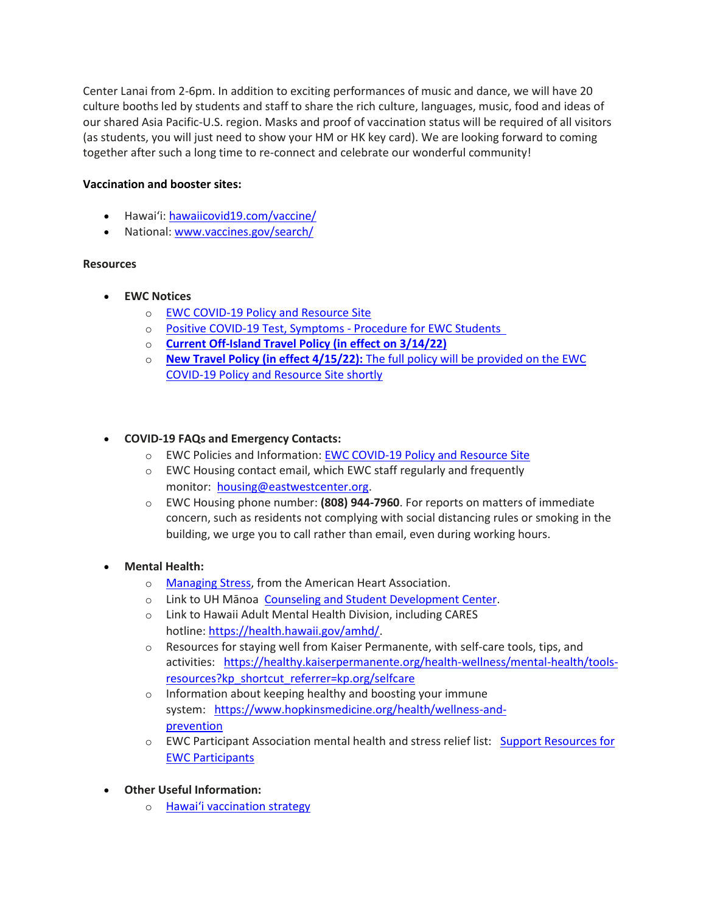Center Lanai from 2-6pm. In addition to exciting performances of music and dance, we will have 20 culture booths led by students and staff to share the rich culture, languages, music, food and ideas of our shared Asia Pacific-U.S. region. Masks and proof of vaccination status will be required of all visitors (as students, you will just need to show your HM or HK key card). We are looking forward to coming together after such a long time to re-connect and celebrate our wonderful community!

### **Vaccination and booster sites:**

- Hawaiʻi: [hawaiicovid19.com/vaccine/](https://hawaiicovid19.com/vaccine/)
- National[: www.vaccines.gov/search/](https://urldefense.proofpoint.com/v2/url?u=https-3A__www.vaccines.gov_search_&d=DwMFaQ&c=euGZstcaTDllvimEN8b7jXrwqOf-v5A_CdpgnVfiiMM&r=sjCoHaVUe8_a1MXsziR411ri4sB3BX3q50L3el6sXMQ&m=WKgR4N74YReT09YdgFIlusysPx2EVEYi0ZpgIBiHyLo&s=d-XIPXMoW03iCHOsfj_9tuB_PkOPoIBV4wK5Y5iV-OY&e=)

### **Resources**

- **EWC Notices**
	- o [EWC COVID-19 Policy and Resource Site](https://urldefense.proofpoint.com/v2/url?u=https-3A__ewcparticipantinfo.org_covid-2D19_&d=DwMFaQ&c=euGZstcaTDllvimEN8b7jXrwqOf-v5A_CdpgnVfiiMM&r=3FPQcXK5sxYRrGCCxQc5PNSb-_SuaL_bSgfyHLgu3XI&m=NeEuRGBZcB6XdPpyhoUn4swvNjBnveDWGZ1brp8cIwI&s=psWXjZhChjGDJkHaOVt2bwTJxxk1NVhXgu70sXTpbpE&e=)
	- o Positive COVID-19 [Test, Symptoms](https://urldefense.proofpoint.com/v2/url?u=https-3A__ewcparticipantinfo.org_wp-2Dcontent_uploads_2021_11_Positive-2DTest-2DSymptoms-2DProcedure-2Dfor-2DStudents.pdf&d=DwMFaQ&c=euGZstcaTDllvimEN8b7jXrwqOf-v5A_CdpgnVfiiMM&r=sjCoHaVUe8_a1MXsziR411ri4sB3BX3q50L3el6sXMQ&m=WKgR4N74YReT09YdgFIlusysPx2EVEYi0ZpgIBiHyLo&s=B_EwroYPRrrqMgKz19R7tl7FsWgmRDH1xyG1z5TrPCI&e=) Procedure for EWC Students
	- o **[Current Off-Island Travel Policy \(in effect on 3/14/22\)](https://urldefense.proofpoint.com/v2/url?u=https-3A__ewcparticipantinfo.org_wp-2Dcontent_uploads_2022_02_Travel-2DPolicy-2DUpdated-2D3.14.22.pdf&d=DwMFaQ&c=euGZstcaTDllvimEN8b7jXrwqOf-v5A_CdpgnVfiiMM&r=sjCoHaVUe8_a1MXsziR411ri4sB3BX3q50L3el6sXMQ&m=WKgR4N74YReT09YdgFIlusysPx2EVEYi0ZpgIBiHyLo&s=DXVJI8FPSiIGpiNp3AA_IkEBFZMnPXj2h34aVxgIzTQ&e=)**
	- o **New Travel Policy (in effect 4/15/22):** The full policy will be provided on the EWC COVID-19 Policy and Resource Site shortly

# • **COVID-19 FAQs and Emergency Contacts:**

- o EWC Policies and Information: [EWC COVID-19 Policy and Resource Site](https://urldefense.proofpoint.com/v2/url?u=https-3A__ewcparticipantinfo.org_covid-2D19_&d=DwMFaQ&c=euGZstcaTDllvimEN8b7jXrwqOf-v5A_CdpgnVfiiMM&r=3FPQcXK5sxYRrGCCxQc5PNSb-_SuaL_bSgfyHLgu3XI&m=NeEuRGBZcB6XdPpyhoUn4swvNjBnveDWGZ1brp8cIwI&s=psWXjZhChjGDJkHaOVt2bwTJxxk1NVhXgu70sXTpbpE&e=)
- o EWC Housing contact email, which EWC staff regularly and frequently monitor: [housing@eastwestcenter.org.](mailto:housing@eastwestcenter.org)
- o EWC Housing phone number: **(808) 944-7960**. For reports on matters of immediate concern, such as residents not complying with social distancing rules or smoking in the building, we urge you to call rather than email, even during working hours.

# • **Mental Health:**

- o [Managing Stress,](https://urldefense.proofpoint.com/v2/url?u=https-3A__www.heart.org_en_healthy-2Dliving_healthy-2Dlifestyle_stress-2Dmanagement_3-2Dtips-2Dto-2Dmanage-2Dstress&d=DwMFaQ&c=euGZstcaTDllvimEN8b7jXrwqOf-v5A_CdpgnVfiiMM&r=3FPQcXK5sxYRrGCCxQc5PNSb-_SuaL_bSgfyHLgu3XI&m=DFa_g2AmhabelwvrqHcTxuYqCMz5HzQYOl-ITmKQUfY&s=brkk3h1YsapP-lIVcxt7MNYAlm4bQtz7YKIJGofeUkY&e=) from the American Heart Association.
- o Link to UH Mānoa [Counseling and Student Development Center.](https://urldefense.proofpoint.com/v2/url?u=http-3A__www.manoa.hawaii.edu_counseling&d=DwMFaQ&c=euGZstcaTDllvimEN8b7jXrwqOf-v5A_CdpgnVfiiMM&r=3FPQcXK5sxYRrGCCxQc5PNSb-_SuaL_bSgfyHLgu3XI&m=am0JUX--VmENU0jPP_iW6ma-yLR9-vpVCXYuYLP_pnQ&s=KLUr2I-87m8x7gT-LRZ1FsUmDxTlS04cGYG1bEY4eOo&e=)
- o Link to Hawaii Adult Mental Health Division, including CARES hotline: [https://health.hawaii.gov/amhd/.](https://urldefense.proofpoint.com/v2/url?u=https-3A__health.hawaii.gov_amhd_&d=DwMFaQ&c=euGZstcaTDllvimEN8b7jXrwqOf-v5A_CdpgnVfiiMM&r=3FPQcXK5sxYRrGCCxQc5PNSb-_SuaL_bSgfyHLgu3XI&m=am0JUX--VmENU0jPP_iW6ma-yLR9-vpVCXYuYLP_pnQ&s=jGly2XqRyYGfSfcDeFQPHXOriK3LXX4ijFkZpV1I3l0&e=)
- o Resources for staying well from Kaiser Permanente, with self-care tools, tips, and activities: [https://healthy.kaiserpermanente.org/health-wellness/mental-health/tools](https://urldefense.proofpoint.com/v2/url?u=https-3A__healthy.kaiserpermanente.org_health-2Dwellness_mental-2Dhealth_tools-2Dresources-3Fkp-5Fshortcut-5Freferrer-3Dkp.org_selfcare&d=DwMFaQ&c=euGZstcaTDllvimEN8b7jXrwqOf-v5A_CdpgnVfiiMM&r=3FPQcXK5sxYRrGCCxQc5PNSb-_SuaL_bSgfyHLgu3XI&m=Rbwxxn-uK8FQYTkEAvPhMEKvL03Z3qaRx6Mfv78EfmQ&s=WgR2DHjakUKCqJM0vJM8s8S_NAf2yZItFCWP7XTUlcc&e=)[resources?kp\\_shortcut\\_referrer=kp.org/selfcare](https://urldefense.proofpoint.com/v2/url?u=https-3A__healthy.kaiserpermanente.org_health-2Dwellness_mental-2Dhealth_tools-2Dresources-3Fkp-5Fshortcut-5Freferrer-3Dkp.org_selfcare&d=DwMFaQ&c=euGZstcaTDllvimEN8b7jXrwqOf-v5A_CdpgnVfiiMM&r=3FPQcXK5sxYRrGCCxQc5PNSb-_SuaL_bSgfyHLgu3XI&m=Rbwxxn-uK8FQYTkEAvPhMEKvL03Z3qaRx6Mfv78EfmQ&s=WgR2DHjakUKCqJM0vJM8s8S_NAf2yZItFCWP7XTUlcc&e=)
- o Information about keeping healthy and boosting your immune system: [https://www.hopkinsmedicine.org/health/wellness-and](https://urldefense.proofpoint.com/v2/url?u=https-3A__www.hopkinsmedicine.org_health_wellness-2Dand-2Dprevention&d=DwMFaQ&c=euGZstcaTDllvimEN8b7jXrwqOf-v5A_CdpgnVfiiMM&r=fzUXRvrK_egS-3t73UD_VQPWmsmmjR5g7liOveFRwTw&m=xQ1KMiKCgTEeIFLcoiItEyinYylVRMHzLz16Rh2E7OE&s=MLYw596o8ko-W_NETjId73A6wPdC94HCfkzyO-_cxq0&e=)[prevention](https://urldefense.proofpoint.com/v2/url?u=https-3A__www.hopkinsmedicine.org_health_wellness-2Dand-2Dprevention&d=DwMFaQ&c=euGZstcaTDllvimEN8b7jXrwqOf-v5A_CdpgnVfiiMM&r=fzUXRvrK_egS-3t73UD_VQPWmsmmjR5g7liOveFRwTw&m=xQ1KMiKCgTEeIFLcoiItEyinYylVRMHzLz16Rh2E7OE&s=MLYw596o8ko-W_NETjId73A6wPdC94HCfkzyO-_cxq0&e=)
- o EWC Participant Association mental health and stress relief list: Support Resources for [EWC Participants](https://urldefense.proofpoint.com/v2/url?u=https-3A__content.getrave.com_content_5958154_b0e6c8eb-2D04ae-2D4fda-2D8b24-2Dc52d32318225_8d91da0e-2Db462-2D4c5b-2D815f-2D570227036179_Support-5FResources-5Ffor-5FEWC-5FStudents.pdf&d=DwMFaQ&c=euGZstcaTDllvimEN8b7jXrwqOf-v5A_CdpgnVfiiMM&r=fzUXRvrK_egS-3t73UD_VQPWmsmmjR5g7liOveFRwTw&m=xQ1KMiKCgTEeIFLcoiItEyinYylVRMHzLz16Rh2E7OE&s=OP6EvOWHfV2zxF3nz8Y8WTudS4Rae1oYrLMe7eHjJW8&e=)
- **Other Useful Information:**
	- o [Hawai'i vaccination strategy](https://hawaiicovid19.com/vaccine/)